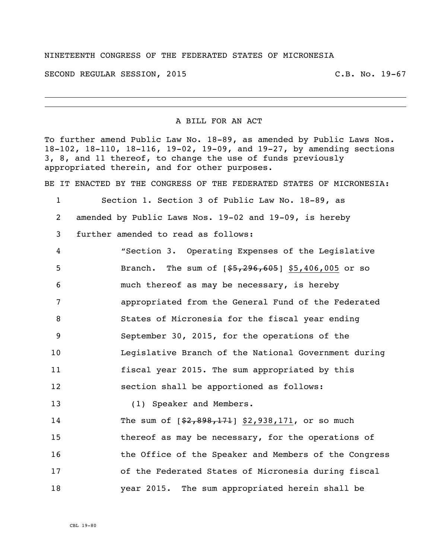## NINETEENTH CONGRESS OF THE FEDERATED STATES OF MICRONESIA

SECOND REGULAR SESSION, 2015 C.B. No. 19-67

A BILL FOR AN ACT

To further amend Public Law No. 18-89, as amended by Public Laws Nos. 18-102, 18-110, 18-116, 19-02, 19-09, and 19-27, by amending sections 3, 8, and 11 thereof, to change the use of funds previously appropriated therein, and for other purposes.

BE IT ENACTED BY THE CONGRESS OF THE FEDERATED STATES OF MICRONESIA:

 Section 1. Section 3 of Public Law No. 18-89, as amended by Public Laws Nos. 19-02 and 19-09, is hereby further amended to read as follows: "Section 3. Operating Expenses of the Legislative

5 Branch. The sum of  $[$ \$5,296,605] \$5,406,005 or so much thereof as may be necessary, is hereby appropriated from the General Fund of the Federated States of Micronesia for the fiscal year ending September 30, 2015, for the operations of the Legislative Branch of the National Government during fiscal year 2015. The sum appropriated by this section shall be apportioned as follows: 13 (1) Speaker and Members. 14 The sum of  $\left[\frac{2}{32,898,171}\right]$  \$2,938,171, or so much thereof as may be necessary, for the operations of

16 the Office of the Speaker and Members of the Congress 17 of the Federated States of Micronesia during fiscal 18 year 2015. The sum appropriated herein shall be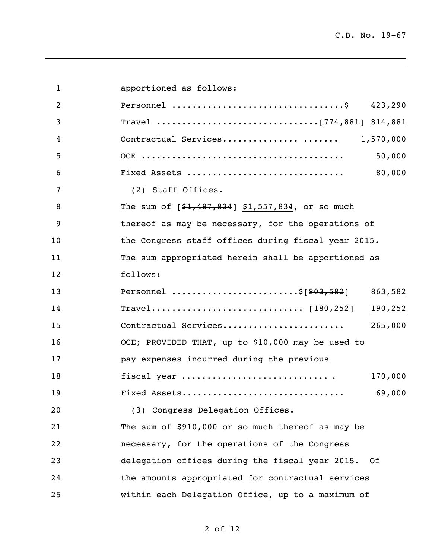| $\mathbf{1}$ | apportioned as follows:                             |
|--------------|-----------------------------------------------------|
| 2            | 423,290                                             |
| 3            |                                                     |
| 4            | Contractual Services<br>1,570,000                   |
| 5            | 50,000                                              |
| 6            | 80,000<br>Fixed Assets                              |
| 7            | (2) Staff Offices.                                  |
| 8            | The sum of $[$1,487,834]$ \$1,557,834, or so much   |
| 9            | thereof as may be necessary, for the operations of  |
| 10           | the Congress staff offices during fiscal year 2015. |
| 11           | The sum appropriated herein shall be apportioned as |
| 12           | follows:                                            |
| 13           | Personnel \$[803,582]<br>863,582                    |
| 14           | 190,252                                             |
| 15           | Contractual Services<br>265,000                     |
| 16           | OCE; PROVIDED THAT, up to \$10,000 may be used to   |
| 17           | pay expenses incurred during the previous           |
| 18           | fiscal year<br>170,000                              |
| 19           | 69,000<br>Fixed Assets                              |
| 20           | (3) Congress Delegation Offices.                    |
| 21           | The sum of \$910,000 or so much thereof as may be   |
| 22           | necessary, for the operations of the Congress       |
| 23           | delegation offices during the fiscal year 2015. Of  |
| 24           | the amounts appropriated for contractual services   |
| 25           | within each Delegation Office, up to a maximum of   |

of 12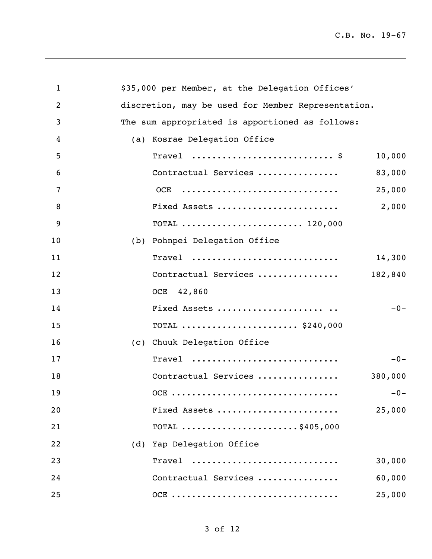| $\mathbf{1}$   | \$35,000 per Member, at the Delegation Offices'                                                |
|----------------|------------------------------------------------------------------------------------------------|
| $\overline{2}$ | discretion, may be used for Member Representation.                                             |
| $\mathfrak{Z}$ | The sum appropriated is apportioned as follows:                                                |
| 4              | (a) Kosrae Delegation Office                                                                   |
| 5              | Travel $\frac{1}{2}$<br>10,000                                                                 |
| 6              | Contractual Services<br>83,000                                                                 |
| 7              | 25,000<br>OCE                                                                                  |
| 8              | 2,000<br>Fixed Assets                                                                          |
| 9              | TOTAL  120,000                                                                                 |
| 10             | (b) Pohnpei Delegation Office                                                                  |
| 11             | $\text{Trace}1 \quad \ldots \ldots \ldots \ldots \ldots \ldots \ldots \ldots \ldots$<br>14,300 |
| 12             | Contractual Services<br>182,840                                                                |
| 13             | OCE 42,860                                                                                     |
| 14             | $-0-$<br>Fixed Assets                                                                          |
| 15             | TOTAL  \$240,000                                                                               |
| 16             | (c) Chuuk Delegation Office                                                                    |
| 17             | $-0-$<br>$\texttt{Trace1}$                                                                     |
| 18             | Contractual Services<br>380,000                                                                |
| 19             | $-0-$<br>OCE                                                                                   |
| 20             | Fixed Assets<br>25,000                                                                         |
| 21             | TOTAL $\ldots \ldots \ldots \ldots \ldots \ldots \ldots$ \$405,000                             |
| 22             | (d) Yap Delegation Office                                                                      |
| 23             | 30,000<br>Travel                                                                               |
| 24             | Contractual Services<br>60,000                                                                 |
| 25             | OCE<br>25,000                                                                                  |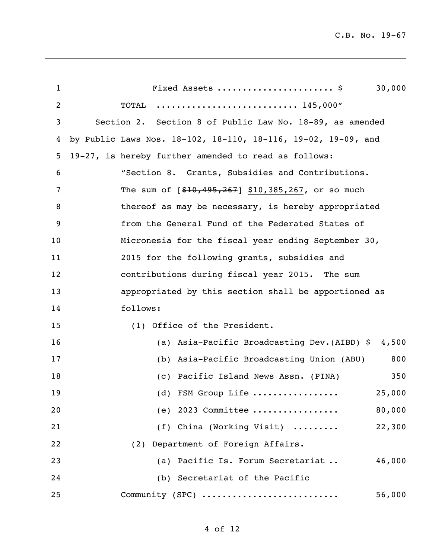| 1              | Fixed Assets  \$<br>30,000                                    |
|----------------|---------------------------------------------------------------|
| $\overline{c}$ | TOTAL<br>145,000"                                             |
| 3              | Section 2. Section 8 of Public Law No. 18-89, as amended      |
| 4              | by Public Laws Nos. 18-102, 18-110, 18-116, 19-02, 19-09, and |
| 5              | 19-27, is hereby further amended to read as follows:          |
| 6              | "Section 8. Grants, Subsidies and Contributions.              |
| 7              | The sum of $[$10,495,267]$ \$10,385,267, or so much           |
| 8              | thereof as may be necessary, is hereby appropriated           |
| 9              | from the General Fund of the Federated States of              |
| 10             | Micronesia for the fiscal year ending September 30,           |
| 11             | 2015 for the following grants, subsidies and                  |
| 12             | contributions during fiscal year 2015. The sum                |
| 13             | appropriated by this section shall be apportioned as          |
| 14             | follows:                                                      |
| 15             | (1) Office of the President.                                  |
| 16             | Asia-Pacific Broadcasting Dev. (AIBD) \$ 4,500<br>(a)         |
| 17             | Asia-Pacific Broadcasting Union (ABU)<br>800<br>(b)           |
| 18             | Pacific Island News Assn. (PINA)<br>350<br>(C)                |
| 19             | (d) FSM Group Life<br>25,000                                  |
| 20             | 80,000<br>(e) 2023 Committee                                  |
| 21             | (f) China (Working Visit)<br>22,300                           |
| 22             | (2) Department of Foreign Affairs.                            |
| 23             | (a) Pacific Is. Forum Secretariat<br>46,000                   |
| 24             | (b) Secretariat of the Pacific                                |
| 25             | Community (SPC)<br>56,000                                     |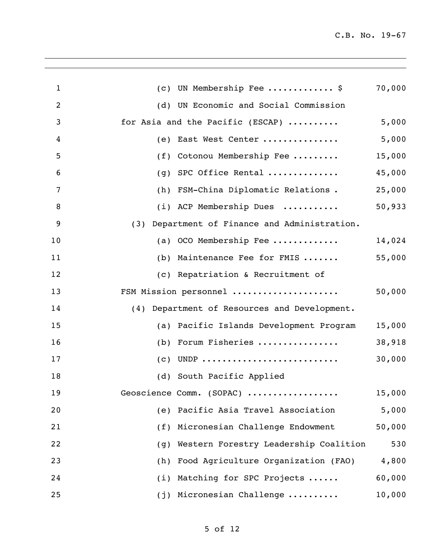| $\mathbf{1}$ | UN Membership Fee  \$<br>(C)                     | 70,000 |
|--------------|--------------------------------------------------|--------|
| 2            | UN Economic and Social Commission<br>(d)         |        |
| 3            | for Asia and the Pacific (ESCAP)                 | 5,000  |
| 4            | East West Center<br>(e)                          | 5,000  |
| 5            | Cotonou Membership Fee<br>(f)                    | 15,000 |
| 6            | SPC Office Rental<br>(q)                         | 45,000 |
| 7            | FSM-China Diplomatic Relations.<br>(h)           | 25,000 |
| 8            | (i) ACP Membership Dues                          | 50,933 |
| 9            | Department of Finance and Administration.<br>(3) |        |
| 10           | OCO Membership Fee<br>(a)                        | 14,024 |
| 11           | Maintenance Fee for FMIS<br>(b)                  | 55,000 |
| 12           | (c) Repatriation & Recruitment of                |        |
| 13           | FSM Mission personnel                            | 50,000 |
| 14           | (4) Department of Resources and Development.     |        |
| 15           | Pacific Islands Development Program<br>(a)       | 15,000 |
| 16           | Forum Fisheries<br>(b)                           | 38,918 |
| 17           | UNDP<br>(c)                                      | 30,000 |
| 18           | (d) South Pacific Applied                        |        |
| 19           | Geoscience Comm. (SOPAC)                         | 15,000 |
| 20           | Pacific Asia Travel Association<br>(e)           | 5,000  |
| 21           | Micronesian Challenge Endowment<br>(f)           | 50,000 |
| 22           | Western Forestry Leadership Coalition<br>(g)     | 530    |
| 23           | Food Agriculture Organization (FAO)<br>(h)       | 4,800  |
| 24           | Matching for SPC Projects<br>(i)                 | 60,000 |
| 25           | Micronesian Challenge<br>(j)                     | 10,000 |
|              |                                                  |        |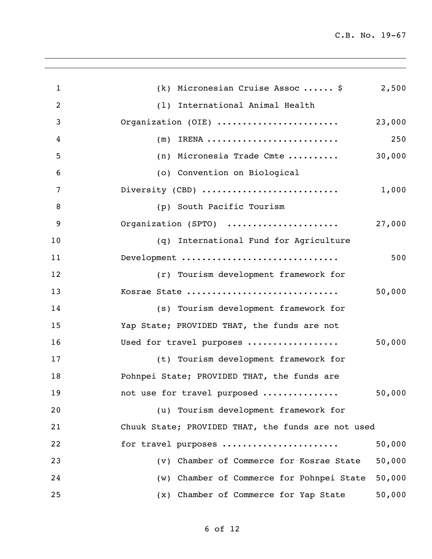| $\mathbf{1}$   | (k) Micronesian Cruise Assoc  \$<br>2,500           |
|----------------|-----------------------------------------------------|
| $\overline{2}$ | (1) International Animal Health                     |
| 3              | Organization (OIE)<br>23,000                        |
| 4              | 250<br>IRENA<br>(m)                                 |
| 5              | 30,000<br>(n) Micronesia Trade Cmte                 |
| 6              | (o) Convention on Biological                        |
| 7              | Diversity (CBD)<br>1,000                            |
| 8              | (p) South Pacific Tourism                           |
| 9              | Organization (SPTO)<br>27,000                       |
| 10             | (q) International Fund for Agriculture              |
| 11             | Development<br>500                                  |
| 12             | (r) Tourism development framework for               |
| 13             | Kosrae State<br>50,000                              |
| 14             | (s) Tourism development framework for               |
| 15             | Yap State; PROVIDED THAT, the funds are not         |
| 16             | Used for travel purposes<br>50,000                  |
| 17             | (t) Tourism development framework for               |
| 18             | Pohnpei State; PROVIDED THAT, the funds are         |
| 19             | not use for travel purposed<br>50,000               |
| 20             | (u) Tourism development framework for               |
| 21             | Chuuk State; PROVIDED THAT, the funds are not used  |
| 22             | 50,000<br>for travel purposes                       |
| 23             | 50,000<br>(v) Chamber of Commerce for Kosrae State  |
| 24             | 50,000<br>(w) Chamber of Commerce for Pohnpei State |
| 25             | 50,000<br>(x) Chamber of Commerce for Yap State     |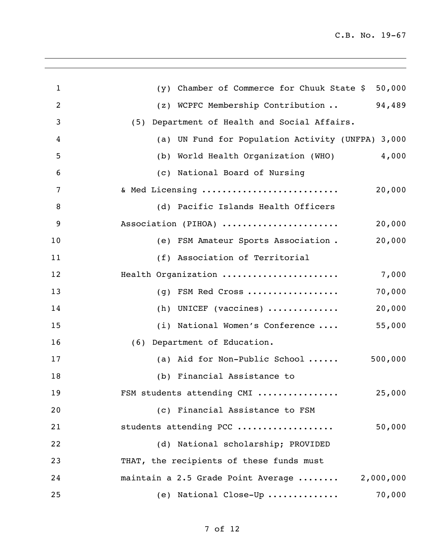| $\mathbf{1}$ | 50,000<br>$(y)$ Chamber of Commerce for Chuuk State \$ |
|--------------|--------------------------------------------------------|
| 2            | 94,489<br>(z) WCPFC Membership Contribution            |
| 3            | (5) Department of Health and Social Affairs.           |
| 4            | (a) UN Fund for Population Activity (UNFPA) 3,000      |
| 5            | 4,000<br>World Health Organization (WHO)<br>(b)        |
| 6            | (c) National Board of Nursing                          |
| 7            | & Med Licensing<br>20,000                              |
| 8            | (d) Pacific Islands Health Officers                    |
| 9            | Association (PIHOA)<br>20,000                          |
| 10           | 20,000<br>(e) FSM Amateur Sports Association.          |
| 11           | (f) Association of Territorial                         |
| 12           | Health Organization<br>7,000                           |
| 13           | 70,000<br>(g) FSM Red Cross                            |
| 14           | 20,000<br>(h) UNICEF (vaccines) $\dots\dots\dots\dots$ |
| 15           | 55,000<br>(i) National Women's Conference              |
| 16           | (6) Department of Education.                           |
| 17           | 500,000<br>(a) Aid for Non-Public School               |
| 18           | (b) Financial Assistance to                            |
| 19           | FSM students attending CMI<br>25,000                   |
| 20           | (c) Financial Assistance to FSM                        |
| 21           | students attending PCC<br>50,000                       |
| 22           | (d) National scholarship; PROVIDED                     |
| 23           | THAT, the recipients of these funds must               |
| 24           | maintain a 2.5 Grade Point Average<br>2,000,000        |
| 25           | 70,000<br>(e) National Close-Up                        |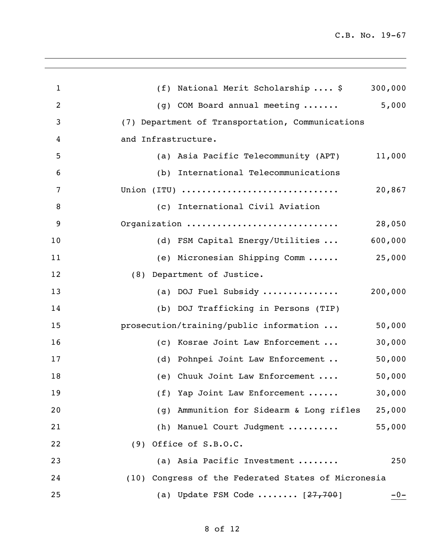| $\mathbf{1}$   | (f) National Merit Scholarship  \$<br>300,000         |
|----------------|-------------------------------------------------------|
| $\overline{c}$ | 5,000<br>(g) COM Board annual meeting                 |
| 3              | (7) Department of Transportation, Communications      |
| 4              | and Infrastructure.                                   |
| 5              | (a) Asia Pacific Telecommunity (APT)<br>11,000        |
| 6              | (b) International Telecommunications                  |
| 7              | Union (ITU)<br>20,867                                 |
| 8              | (c) International Civil Aviation                      |
| 9              | Organization<br>28,050                                |
| 10             | 600,000<br>(d) FSM Capital Energy/Utilities           |
| 11             | 25,000<br>(e) Micronesian Shipping Comm               |
| 12             | (8) Department of Justice.                            |
| 13             | 200,000<br>(a) DOJ Fuel Subsidy                       |
| 14             | (b) DOJ Trafficking in Persons (TIP)                  |
| 15             | 50,000<br>prosecution/training/public information     |
| 16             | 30,000<br>(c) Kosrae Joint Law Enforcement            |
| 17             | 50,000<br>(d) Pohnpei Joint Law Enforcement           |
| 18             | 50,000<br>(e) Chuuk Joint Law Enforcement             |
| 19             | 30,000<br>(f) Yap Joint Law Enforcement               |
| 20             | Ammunition for Sidearm & Long rifles<br>25,000<br>(g) |
| 21             | 55,000<br>(h) Manuel Court Judgment                   |
| 22             | $(9)$ Office of S.B.O.C.                              |
| 23             | (a) Asia Pacific Investment<br>250                    |
| 24             | (10) Congress of the Federated States of Micronesia   |
| 25             | (a) Update FSM Code $[27, 700]$<br>$-0-$              |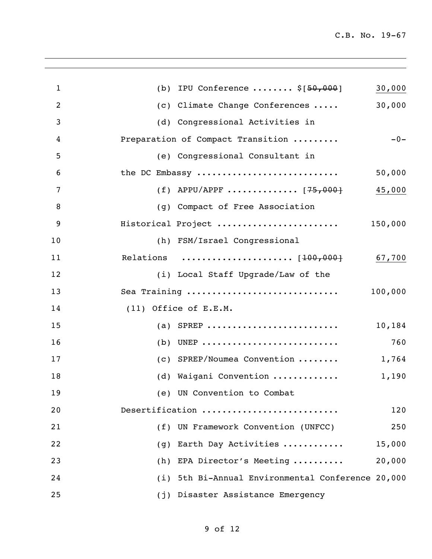| $\mathbf{1}$   | (b) IPU Conference $\ldots \ldots$ , $\S[50,000]$<br>30,000 |
|----------------|-------------------------------------------------------------|
| $\overline{2}$ | 30,000<br>(c) Climate Change Conferences                    |
| 3              | (d) Congressional Activities in                             |
| 4              | $-0-$<br>Preparation of Compact Transition                  |
| 5              | (e) Congressional Consultant in                             |
| 6              | the DC Embassy<br>50,000                                    |
| 7              | (f) APPU/APPF $[75,000]$<br>45,000                          |
| 8              | (g) Compact of Free Association                             |
| 9              | Historical Project<br>150,000                               |
| 10             | (h) FSM/Israel Congressional                                |
| 11             | Relations  [100,000]<br>67,700                              |
| 12             | (i) Local Staff Upgrade/Law of the                          |
| 13             | Sea Training<br>100,000                                     |
| 14             | $(11)$ Office of E.E.M.                                     |
| 15             | (a) SPREP<br>10,184                                         |
| 16             | (b) UNEP<br>760                                             |
| 17             | (c) SPREP/Noumea Convention<br>1,764                        |
| 18             | (d) Waigani Convention<br>1,190                             |
| 19             | (e) UN Convention to Combat                                 |
| 20             | Desertification<br>120                                      |
| 21             | (f) UN Framework Convention (UNFCC)<br>250                  |
| 22             | Earth Day Activities<br>15,000<br>(q)                       |
| 23             | 20,000<br>(h) EPA Director's Meeting                        |
| 24             | (i) 5th Bi-Annual Environmental Conference 20,000           |
| 25             | (j) Disaster Assistance Emergency                           |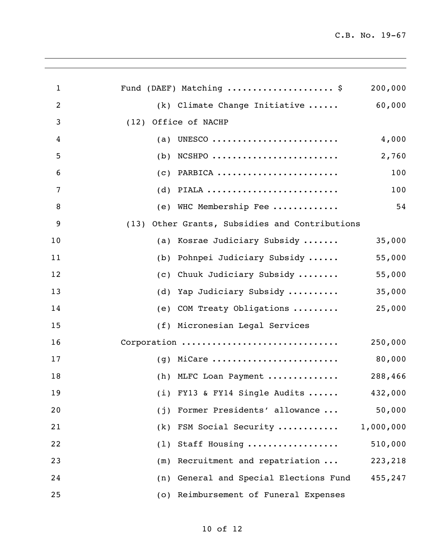| $\mathbf{1}$   | Fund (DAEF) Matching  \$                       | 200,000 |
|----------------|------------------------------------------------|---------|
| $\overline{c}$ | (k) Climate Change Initiative                  | 60,000  |
| 3              | (12) Office of NACHP                           |         |
| 4              | UNESCO<br>(a)                                  | 4,000   |
| 5              | $NCSHPO$<br>(b)                                | 2,760   |
| 6              | PARBICA<br>(C)                                 | 100     |
| $\overline{7}$ | PIALA<br>(d)                                   | 100     |
| 8              | (e) WHC Membership Fee                         | 54      |
| 9              | (13) Other Grants, Subsidies and Contributions |         |
| 10             | (a) Kosrae Judiciary Subsidy                   | 35,000  |
| 11             | Pohnpei Judiciary Subsidy<br>(b)               | 55,000  |
| 12             | Chuuk Judiciary Subsidy<br>(C)                 | 55,000  |
| 13             | Yap Judiciary Subsidy<br>(d)                   | 35,000  |
| 14             | COM Treaty Obligations<br>(e)                  | 25,000  |
| 15             | (f) Micronesian Legal Services                 |         |
| 16             | Corporation                                    | 250,000 |
| 17             | $(g)$ MiCare                                   | 80,000  |
| 18             | (h) MLFC Loan Payment                          | 288,466 |
| 19             | $(i)$ FY13 & FY14 Single Audits<br>432,000     |         |
| 20             | Former Presidents' allowance<br>(i)            | 50,000  |
| 21             | (k) FSM Social Security<br>1,000,000           |         |
| 22             | Staff Housing<br>(1)                           | 510,000 |
| 23             | Recruitment and repatriation<br>(m)            | 223,218 |
| 24             | General and Special Elections Fund<br>(n)      | 455,247 |
| 25             | Reimbursement of Funeral Expenses<br>(0)       |         |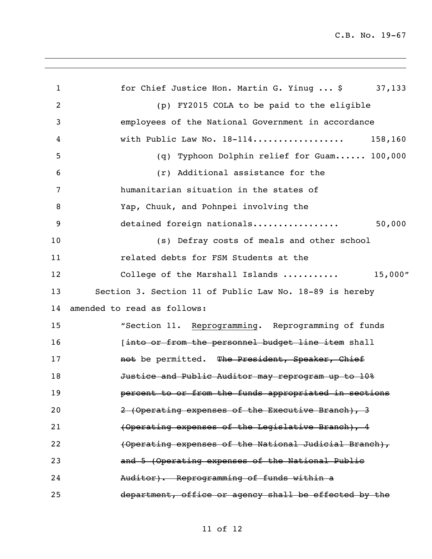1 for Chief Justice Hon. Martin G. Yinug ... \$ 37,133 (p) FY2015 COLA to be paid to the eligible employees of the National Government in accordance with Public Law No. 18-114.................. 158,160 (q) Typhoon Dolphin relief for Guam...... 100,000 (r) Additional assistance for the humanitarian situation in the states of Yap, Chuuk, and Pohnpei involving the detained foreign nationals................. 50,000 (s) Defray costs of meals and other school related debts for FSM Students at the 12 College of the Marshall Islands ........... 15,000" Section 3. Section 11 of Public Law No. 18-89 is hereby amended to read as follows: "Section 11. Reprogramming. Reprogramming of funds **10 [into or from the personnel budget line item shall 17 not be permitted.** The President, Speaker, Chief **Justice and Public Auditor may reprogram up to 10% 19 percent to or from the funds appropriated in sections** 20 2 (Operating expenses of the Executive Branch), 3 (Operating expenses of the Legislative Branch), 4 (Operating expenses of the National Judicial Branch), and 5 (Operating expenses of the National Public Auditor). Reprogramming of funds within a department, office or agency shall be effected by the